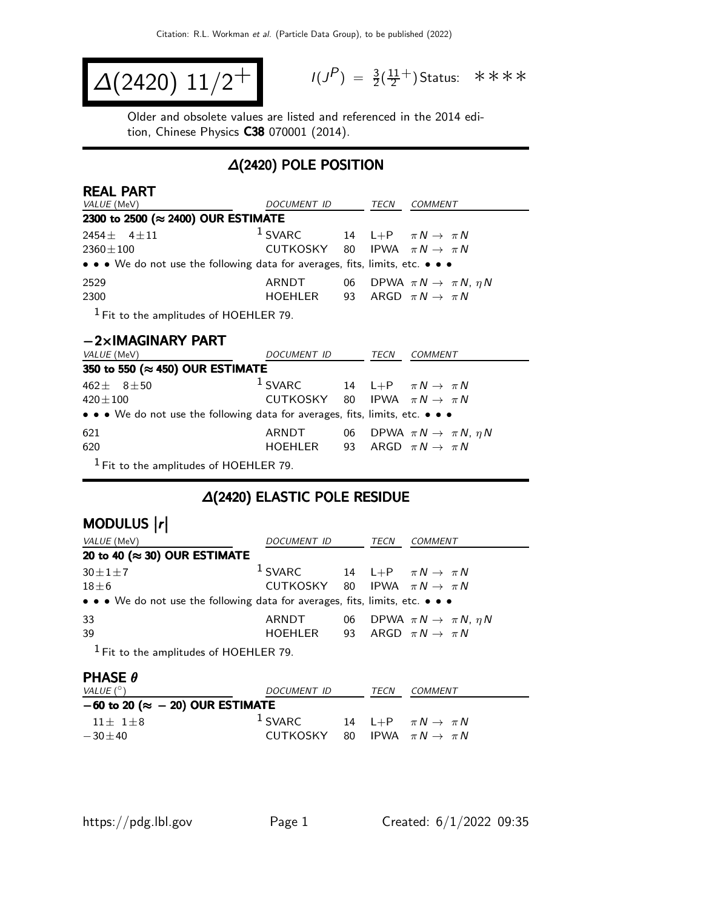$$
\Delta(2420) 11/2^+
$$

$$
I(J^{P}) = \frac{3}{2}(\frac{11}{2}^{+})
$$
 Status:  $\ast \ast \ast \ast$ 

Older and obsolete values are listed and referenced in the 2014 edition, Chinese Physics C38 070001 (2014).

### ∆(2420) POLE POSITION

| <b>REAL PART</b>                                                                                                      |                                            |    |      |                                              |  |
|-----------------------------------------------------------------------------------------------------------------------|--------------------------------------------|----|------|----------------------------------------------|--|
| VALUE (MeV)                                                                                                           | DOCUMENT ID                                |    | TECN | <i>COMMENT</i>                               |  |
| 2300 to 2500 (≈ 2400) OUR ESTIMATE                                                                                    |                                            |    |      |                                              |  |
| 2454 $\pm$ 4 $\pm$ 11                                                                                                 | $1$ SVARC                                  |    |      | 14 L+P $\pi N \rightarrow \pi N$             |  |
| $2360 \pm 100$                                                                                                        | CUTKOSKY 80 IPWA $\pi N \rightarrow \pi N$ |    |      |                                              |  |
| • • • We do not use the following data for averages, fits, limits, etc. • • •                                         |                                            |    |      |                                              |  |
| 2529                                                                                                                  | ARNDT                                      |    |      | 06 DPWA $\pi N \rightarrow \pi N$ , $\eta N$ |  |
| 2300                                                                                                                  | HOEHLER                                    |    |      | 93 ARGD $\pi N \rightarrow \pi N$            |  |
| $1$ Fit to the amplitudes of HOEHLER 79.                                                                              |                                            |    |      |                                              |  |
| $-2\times$ IMAGINARY PART                                                                                             |                                            |    |      |                                              |  |
| VALUE (MeV)                                                                                                           | DOCUMENT ID                                |    | TECN | COMMENT                                      |  |
| 350 to 550 (≈ 450) OUR ESTIMATE                                                                                       |                                            |    |      |                                              |  |
| $462 \pm 81 \pm 50$                                                                                                   | <sup>1</sup> SVARC                         |    |      | 14 L+P $\pi N \rightarrow \pi N$             |  |
| $420 \pm 100$                                                                                                         | CUTKOSKY 80                                |    |      | IPWA $\pi N \rightarrow \pi N$               |  |
| $\bullet \bullet \bullet$ We do not use the following data for averages, fits, limits, etc. $\bullet \bullet \bullet$ |                                            |    |      |                                              |  |
| 621                                                                                                                   | ARNDT                                      |    |      | 06 DPWA $\pi N \rightarrow \pi N$ , $\eta N$ |  |
| 620                                                                                                                   | HOEHLER                                    | 93 |      | ARGD $\pi N \rightarrow \pi N$               |  |
| $1$ Fit to the amplitudes of HOEHLER 79.                                                                              |                                            |    |      |                                              |  |

### ∆(2420) ELASTIC POLE RESIDUE

# MODULUS |r|

| VALUE (MeV)                                                                   | DOCUMENT ID                                         | TECN | COMMENT                                      |
|-------------------------------------------------------------------------------|-----------------------------------------------------|------|----------------------------------------------|
| 20 to 40 ( $\approx$ 30) OUR ESTIMATE                                         |                                                     |      |                                              |
| $30 \pm 1 \pm 7$                                                              | <sup>1</sup> SVARC 14 L+P $\pi N \rightarrow \pi N$ |      |                                              |
| $18\pm 6$                                                                     | CUTKOSKY 80 IPWA $\pi N \rightarrow \pi N$          |      |                                              |
| • • • We do not use the following data for averages, fits, limits, etc. • • • |                                                     |      |                                              |
| 33                                                                            | ARNDT                                               |      | 06 DPWA $\pi N \rightarrow \pi N$ , $\eta N$ |
| 39                                                                            | HOEHLER                                             |      | 93 ARGD $\pi N \rightarrow \pi N$            |
|                                                                               |                                                     |      |                                              |

<sup>1</sup> Fit to the amplitudes of HOEHLER 79.

#### PHASE θ

| VALUE $(^\circ)$                           | DOCUMENT ID | <b>TECN</b> | COMMENT                           |
|--------------------------------------------|-------------|-------------|-----------------------------------|
| $-60$ to 20 ( $\approx -20$ ) OUR ESTIMATE |             |             |                                   |
| $11+1+8$                                   | $1$ SVARC   |             | 14 L+P $\pi N \rightarrow \pi N$  |
| $-30+40$                                   | CUTKOSKY    |             | 80 IPWA $\pi N \rightarrow \pi N$ |